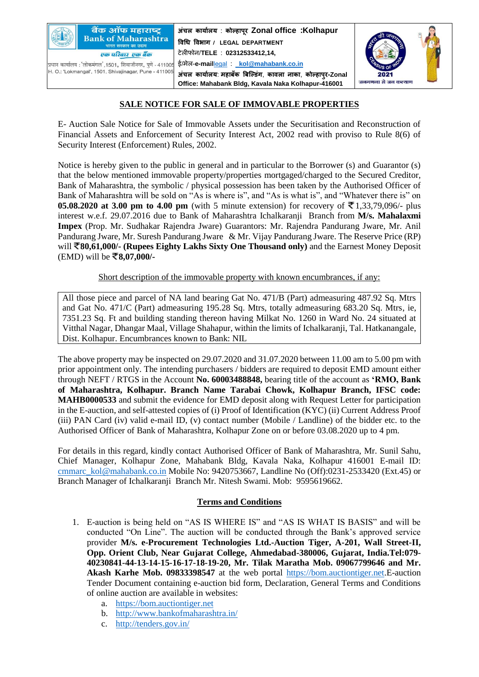

**Bank of Maharashtra** <mark>गरत सरकार का उद्यम</mark> एक परिवार एक बैंक

बैंक ऑफ महाराष्ट्र

.<br>प्रधान कार्यालय : 'लोकमंगल',1501, शिवाजीनगर, पुणे - 41100 H. O.: 'Lokmangal', 1501, Shivajinagar, Pune - 411005

**अंचल कार्ाालर्** : **कोल्हापरू Zonal office :Kolhapur विधि विभाग / LEGAL DEPARTMENT** टेलीफोन/**TELE** : **02312533412,14,** ई/मेल-**e-mail**[legal](mailto:legal_kol@mahabank.co.in) : \_**[kol@mahabank.co.in](mailto:legal_kol@mahabank.co.in) अंचल कार्ाालर्**: **महाबँक बबलल्डगं** , **कािला नाका**, **कोल्हापरु-Zonal Office: Mahabank Bldg, Kavala Naka Kolhapur-416001**



## **SALE NOTICE FOR SALE OF IMMOVABLE PROPERTIES**

E- Auction Sale Notice for Sale of Immovable Assets under the Securitisation and Reconstruction of Financial Assets and Enforcement of Security Interest Act, 2002 read with proviso to Rule 8(6) of Security Interest (Enforcement) Rules, 2002.

Notice is hereby given to the public in general and in particular to the Borrower (s) and Guarantor (s) that the below mentioned immovable property/properties mortgaged/charged to the Secured Creditor, Bank of Maharashtra, the symbolic / physical possession has been taken by the Authorised Officer of Bank of Maharashtra will be sold on "As is where is", and "As is what is", and "Whatever there is" on **05.08.2020 at 3.00 pm to 4.00 pm** (with 5 minute extension) for recovery of ₹1,33,79,096/- plus interest w.e.f. 29.07.2016 due to Bank of Maharashtra Ichalkaranji Branch from **M/s. Mahalaxmi Impex** (Prop. Mr. Sudhakar Rajendra Jware) Guarantors: Mr. Rajendra Pandurang Jware, Mr. Anil Pandurang Jware, Mr. Suresh Pandurang Jware & Mr. Vijay Pandurang Jware. The Reserve Price (RP) will **80,61,000/- (Rupees Eighty Lakhs Sixty One Thousand only)** and the Earnest Money Deposit (EMD) will be **8,07,000/-**

Short description of the immovable property with known encumbrances, if any:

All those piece and parcel of NA land bearing Gat No. 471/B (Part) admeasuring 487.92 Sq. Mtrs and Gat No. 471/C (Part) admeasuring 195.28 Sq. Mtrs, totally admeasuring 683.20 Sq. Mtrs, ie, 7351.23 Sq. Ft and building standing thereon having Milkat No. 1260 in Ward No. 24 situated at Vitthal Nagar, Dhangar Maal, Village Shahapur, within the limits of Ichalkaranji, Tal. Hatkanangale, Dist. Kolhapur. Encumbrances known to Bank: NIL

The above property may be inspected on 29.07.2020 and 31.07.2020 between 11.00 am to 5.00 pm with prior appointment only. The intending purchasers / bidders are required to deposit EMD amount either through NEFT / RTGS in the Account **No. 60003488848,** bearing title of the account as **'RMO, Bank of Maharashtra, Kolhapur. Branch Name Tarabai Chowk, Kolhapur Branch, IFSC code: MAHB0000533** and submit the evidence for EMD deposit along with Request Letter for participation in the E-auction, and self-attested copies of (i) Proof of Identification (KYC) (ii) Current Address Proof (iii) PAN Card (iv) valid e-mail ID, (v) contact number (Mobile / Landline) of the bidder etc. to the Authorised Officer of Bank of Maharashtra, Kolhapur Zone on or before 03.08.2020 up to 4 pm.

For details in this regard, kindly contact Authorised Officer of Bank of Maharashtra, Mr. Sunil Sahu, Chief Manager, Kolhapur Zone, Mahabank Bldg, Kavala Naka, Kolhapur 416001 E-mail ID: [cmmarc\\_kol@mahabank.co.in](mailto:cmmarc_kol@mahabank.co.in) Mobile No: 9420753667, Landline No (Off):0231-2533420 (Ext.45) or Branch Manager of Ichalkaranji Branch Mr. Nitesh Swami. Mob: 9595619662.

## **Terms and Conditions**

- 1. E-auction is being held on "AS IS WHERE IS" and "AS IS WHAT IS BASIS" and will be conducted "On Line". The auction will be conducted through the Bank's approved service provider **M/s. e-Procurement Technologies Ltd.-Auction Tiger, A-201, Wall Street-II, Opp. Orient Club, Near Gujarat College, Ahmedabad-380006, Gujarat, India.Tel:079- 40230841-44-13-14-15-16-17-18-19-20, Mr. Tilak Maratha Mob. 09067799646 and Mr. Akash Karhe Mob. 09833398547** at the web portal [https://bom.auctiontiger.net.](https://bom.auctiontiger.net/)E-auction Tender Document containing e-auction bid form, Declaration, General Terms and Conditions of online auction are available in websites:
	- a. [https://bom.auctiontiger.net](https://bom.auctiontiger.net/)
	- b. <http://www.bankofmaharashtra.in/>
	- c. <http://tenders.gov.in/>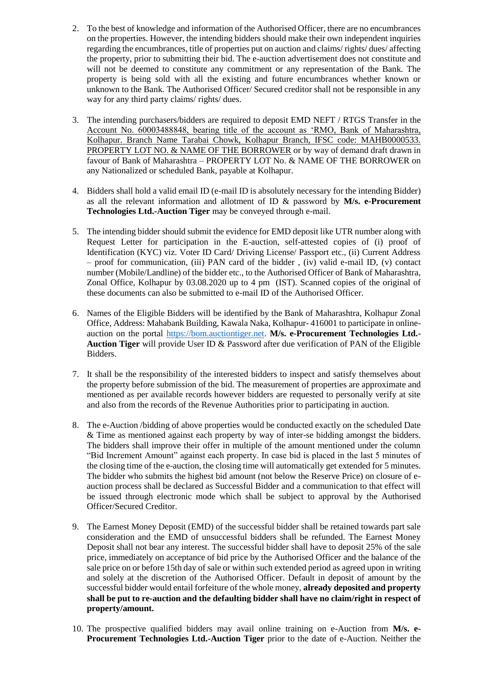- 2. To the best of knowledge and information of the Authorised Officer, there are no encumbrances on the properties. However, the intending bidders should make their own independent inquiries regarding the encumbrances, title of properties put on auction and claims/ rights/ dues/ affecting the property, prior to submitting their bid. The e-auction advertisement does not constitute and will not be deemed to constitute any commitment or any representation of the Bank. The property is being sold with all the existing and future encumbrances whether known or unknown to the Bank. The Authorised Officer/ Secured creditor shall not be responsible in any way for any third party claims/ rights/ dues.
- 3. The intending purchasers/bidders are required to deposit EMD NEFT / RTGS Transfer in the Account No. 60003488848, bearing title of the account as 'RMO, Bank of Maharashtra, Kolhapur. Branch Name Tarabai Chowk, Kolhapur Branch, IFSC code: MAHB0000533. PROPERTY LOT NO. & NAME OF THE BORROWER or by way of demand draft drawn in favour of Bank of Maharashtra – PROPERTY LOT No. & NAME OF THE BORROWER on any Nationalized or scheduled Bank, payable at Kolhapur.
- 4. Bidders shall hold a valid email ID (e-mail ID is absolutely necessary for the intending Bidder) as all the relevant information and allotment of ID & password by **M/s. e-Procurement Technologies Ltd.-Auction Tiger** may be conveyed through e-mail.
- 5. The intending bidder should submit the evidence for EMD deposit like UTR number along with Request Letter for participation in the E-auction, self-attested copies of (i) proof of Identification (KYC) viz. Voter ID Card/ Driving License/ Passport etc., (ii) Current Address – proof for communication, (iii) PAN card of the bidder , (iv) valid e-mail ID, (v) contact number (Mobile/Landline) of the bidder etc., to the Authorised Officer of Bank of Maharashtra, Zonal Office, Kolhapur by 03.08.2020 up to 4 pm (IST). Scanned copies of the original of these documents can also be submitted to e-mail ID of the Authorised Officer.
- 6. Names of the Eligible Bidders will be identified by the Bank of Maharashtra, Kolhapur Zonal Office, Address: Mahabank Building, Kawala Naka, Kolhapur- 416001 to participate in onlineauction on the portal [https://bom.auctiontiger.net.](https://bom.auctiontiger.net/) **M/s. e-Procurement Technologies Ltd.- Auction Tiger** will provide User ID & Password after due verification of PAN of the Eligible Bidders.
- 7. It shall be the responsibility of the interested bidders to inspect and satisfy themselves about the property before submission of the bid. The measurement of properties are approximate and mentioned as per available records however bidders are requested to personally verify at site and also from the records of the Revenue Authorities prior to participating in auction.
- 8. The e-Auction /bidding of above properties would be conducted exactly on the scheduled Date & Time as mentioned against each property by way of inter-se bidding amongst the bidders. The bidders shall improve their offer in multiple of the amount mentioned under the column "Bid Increment Amount" against each property. In case bid is placed in the last 5 minutes of the closing time of the e-auction, the closing time will automatically get extended for 5 minutes. The bidder who submits the highest bid amount (not below the Reserve Price) on closure of eauction process shall be declared as Successful Bidder and a communication to that effect will be issued through electronic mode which shall be subject to approval by the Authorised Officer/Secured Creditor.
- 9. The Earnest Money Deposit (EMD) of the successful bidder shall be retained towards part sale consideration and the EMD of unsuccessful bidders shall be refunded. The Earnest Money Deposit shall not bear any interest. The successful bidder shall have to deposit 25% of the sale price, immediately on acceptance of bid price by the Authorised Officer and the balance of the sale price on or before 15th day of sale or within such extended period as agreed upon in writing and solely at the discretion of the Authorised Officer. Default in deposit of amount by the successful bidder would entail forfeiture of the whole money, **already deposited and property shall be put to re-auction and the defaulting bidder shall have no claim/right in respect of property/amount.**
- 10. The prospective qualified bidders may avail online training on e-Auction from **M/s. e-Procurement Technologies Ltd.-Auction Tiger** prior to the date of e-Auction. Neither the